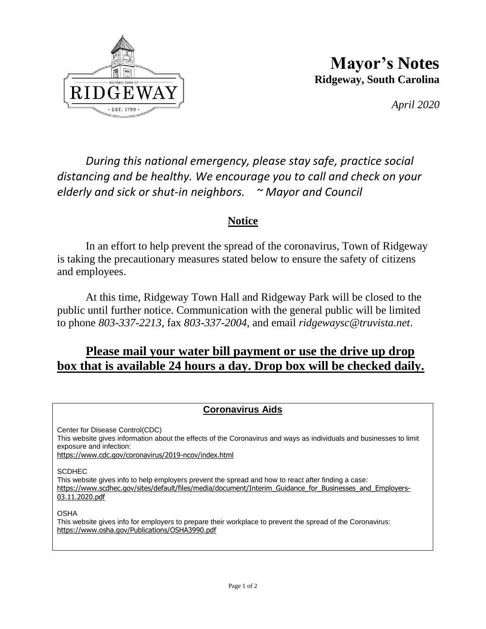

**Mayor's Notes Ridgeway, South Carolina**

*April 2020*

*During this national emergency, please stay safe, practice social distancing and be healthy. We encourage you to call and check on your elderly and sick or shut-in neighbors. ~ Mayor and Council*

## **Notice**

In an effort to help prevent the spread of the coronavirus, Town of Ridgeway is taking the precautionary measures stated below to ensure the safety of citizens and employees.

At this time, Ridgeway Town Hall and Ridgeway Park will be closed to the public until further notice. Communication with the general public will be limited to phone *803-337-2213*, fax *803-337-2004*, and email *ridgewaysc@truvista.net*.

## **Please mail your water bill payment or use the drive up drop box that is available 24 hours a day. Drop box will be checked daily.**

## **Coronavirus Aids**

Center for Disease Control(CDC) This website gives information about the effects of the Coronavirus and ways as individuals and businesses to limit exposure and infection: [https://www.cdc.gov/coronavirus/2019-ncov/index.html](https://fairfieldchambersc.us4.list-manage.com/track/click?u=adfaae1694a14cda6076d998d&id=13407ca664&e=efd799cb76)

**SCDHEC** 

This website gives info to help employers prevent the spread and how to react after finding a case: [https://www.scdhec.gov/sites/default/files/media/document/Interim\\_Guidance\\_for\\_Businesses\\_and\\_Employers-](https://fairfieldchambersc.us4.list-manage.com/track/click?u=adfaae1694a14cda6076d998d&id=1545085ca5&e=efd799cb76)[03.11.2020.pdf](https://fairfieldchambersc.us4.list-manage.com/track/click?u=adfaae1694a14cda6076d998d&id=1545085ca5&e=efd799cb76)

OSHA

This website gives info for employers to prepare their workplace to prevent the spread of the Coronavirus: [https://www.osha.gov/Publications/OSHA3990.pdf](https://fairfieldchambersc.us4.list-manage.com/track/click?u=adfaae1694a14cda6076d998d&id=a254fb4b01&e=efd799cb76)